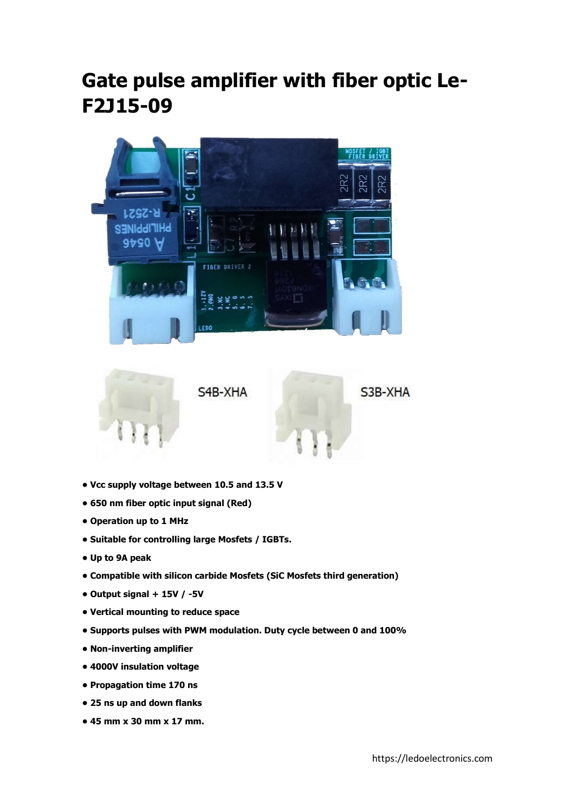## Gate pulse amplifier with fiber optic Le-F2J15-09





- Vcc supply voltage between 10.5 and 13.5 V
- 650 nm fiber optic input signal (Red)
- Operation up to 1 MHz
- Suitable for controlling large Mosfets / IGBTs.
- Up to 9A peak
- Compatible with silicon carbide Mosfets (SiC Mosfets third generation)
- Output signal + 15V / -5V
- Vertical mounting to reduce space
- Supports pulses with PWM modulation. Duty cycle between 0 and 100%
- Non-inverting amplifier
- 4000V insulation voltage
- Propagation time 170 ns
- 25 ns up and down flanks
- 45 mm x 30 mm x 17 mm.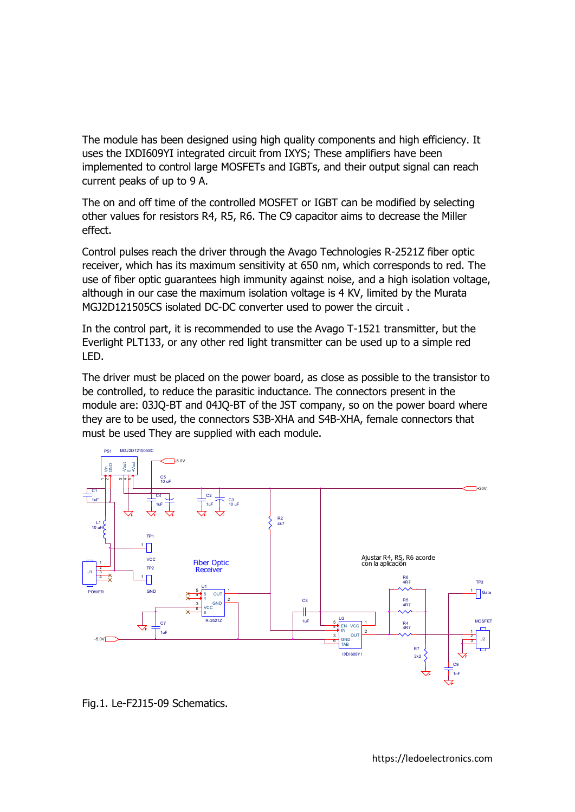The module has been designed using high quality components and high efficiency. It uses the IXDI609YI integrated circuit from IXYS; These amplifiers have been implemented to control large MOSFETs and IGBTs, and their output signal can reach current peaks of up to 9 A.

The on and off time of the controlled MOSFET or IGBT can be modified by selecting other values for resistors R4, R5, R6. The C9 capacitor aims to decrease the Miller effect.

Control pulses reach the driver through the Avago Technologies R-2521Z fiber optic receiver, which has its maximum sensitivity at 650 nm, which corresponds to red. The use of fiber optic guarantees high immunity against noise, and a high isolation voltage, although in our case the maximum isolation voltage is 4 KV, limited by the Murata MGJ2D121505CS isolated DC-DC converter used to power the circuit .

In the control part, it is recommended to use the Avago T-1521 transmitter, but the Everlight PLT133, or any other red light transmitter can be used up to a simple red LED.

The driver must be placed on the power board, as close as possible to the transistor to be controlled, to reduce the parasitic inductance. The connectors present in the module are: 03JQ-BT and 04JQ-BT of the JST company, so on the power board where they are to be used, the connectors S3B-XHA and S4B-XHA, female connectors that must be used They are supplied with each module.

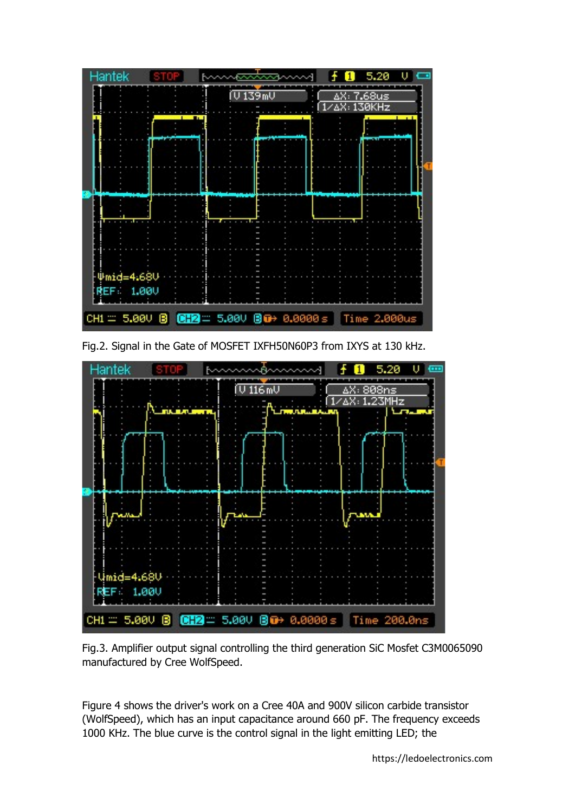

Fig.2. Signal in the Gate of MOSFET IXFH50N60P3 from IXYS at 130 kHz.



Fig.3. Amplifier output signal controlling the third generation SiC Mosfet C3M0065090 manufactured by Cree WolfSpeed.

Figure 4 shows the driver's work on a Cree 40A and 900V silicon carbide transistor (WolfSpeed), which has an input capacitance around 660 pF. The frequency exceeds 1000 KHz. The blue curve is the control signal in the light emitting LED; the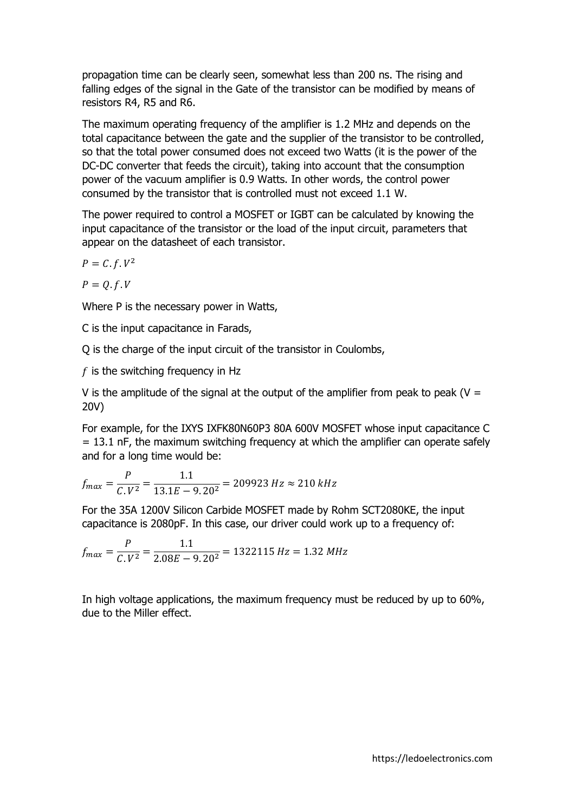propagation time can be clearly seen, somewhat less than 200 ns. The rising and falling edges of the signal in the Gate of the transistor can be modified by means of resistors R4, R5 and R6.

The maximum operating frequency of the amplifier is 1.2 MHz and depends on the total capacitance between the gate and the supplier of the transistor to be controlled, so that the total power consumed does not exceed two Watts (it is the power of the DC-DC converter that feeds the circuit), taking into account that the consumption power of the vacuum amplifier is 0.9 Watts. In other words, the control power consumed by the transistor that is controlled must not exceed 1.1 W.

The power required to control a MOSFET or IGBT can be calculated by knowing the input capacitance of the transistor or the load of the input circuit, parameters that appear on the datasheet of each transistor.

$$
P=C.f.V^2
$$

 $P = 0.f.V$ 

Where P is the necessary power in Watts,

C is the input capacitance in Farads,

Q is the charge of the input circuit of the transistor in Coulombs,

 $f$  is the switching frequency in Hz

V is the amplitude of the signal at the output of the amplifier from peak to peak ( $V =$ 20V)

For example, for the IXYS IXFK80N60P3 80A 600V MOSFET whose input capacitance C = 13.1 nF, the maximum switching frequency at which the amplifier can operate safely and for a long time would be:

$$
f_{max} = \frac{P}{C.V^2} = \frac{1.1}{13.1E - 9.20^2} = 209923 Hz \approx 210 kHz
$$

For the 35A 1200V Silicon Carbide MOSFET made by Rohm SCT2080KE, the input capacitance is 2080pF. In this case, our driver could work up to a frequency of:

$$
f_{max} = \frac{P}{C.V^2} = \frac{1.1}{2.08E - 9.20^2} = 1322115 Hz = 1.32 MHz
$$

In high voltage applications, the maximum frequency must be reduced by up to 60%, due to the Miller effect.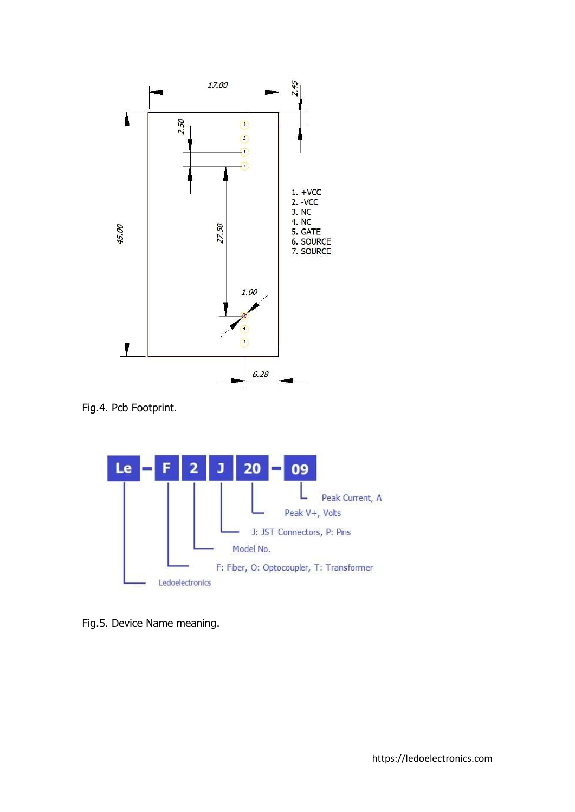

Fig.4. Pcb Footprint.



Fig.5. Device Name meaning.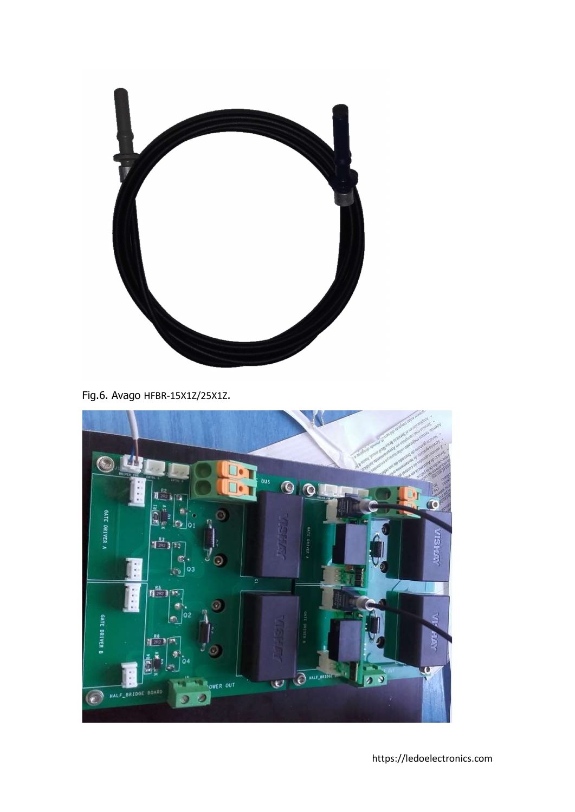

Fig.6. Avago HFBR-15X1Z/25X1Z.



https://ledoelectronics.com